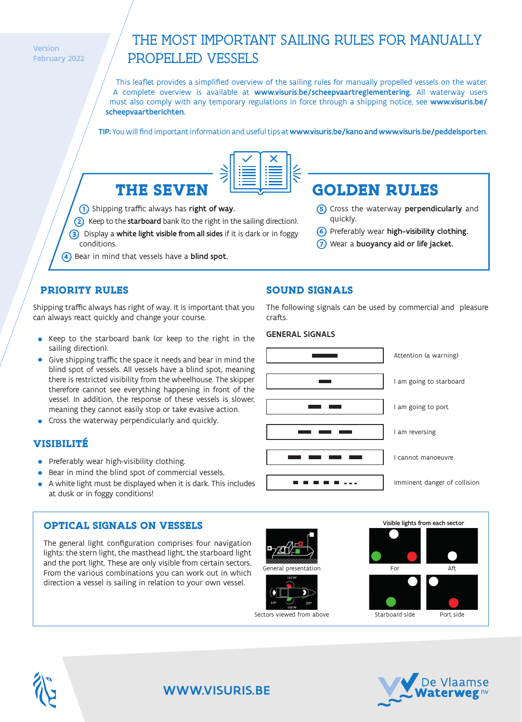**Version** February 2022

# THE MOST IMPORTANT SAILING RULES FOR MANUALLY PROPELLED VESSELS

This leaflet provides a simplified overview of the sailing rules for manually propelled vessels on the water. A complete overview is available at www.visuris.be/scheepvaartreglementering. All waterway users must also comply with any temporary regulations in force through a shipping notice, see www.visuris.be/ scheepvaartberichten.

TIP: You will find important information and useful tips at www.visuris.be/kano and www.visuris.be/peddelsporten.

**SOUND SIGNALS**

crafts.



1) Shipping traffic always has **right of way.** 

- Keep to the starboard bank (to the right in the sailing direction). **2**
- Display a white light visible from all sides if it is dark or in foggy **3** conditions.
- **4)** Bear in mind that vessels have a **blind spot.**

#### Cross the waterway perpendicularly and **5** quickly.

- Preferably wear high-visibility clothing. **6**
- Wear a buoyancy aid or life jacket. **7**

The following signals can be used by commercial and pleasure

## **PRIORITY RULES**

Shipping traffic always has right of way. It is important that you can always react quickly and change your course.

- Keep to the starboard bank (or keep to the right in the sailing direction).
- Give shipping traffic the space it needs and bear in mind the blind spot of vessels. All vessels have a blind spot, meaning there is restricted visibility from the wheelhouse. The skipper therefore cannot see everything happening in front of the vessel. In addition, the response of these vessels is slower, meaning they cannot easily stop or take evasive action.
- **Cross the waterway perpendicularly and quickly.**

## **VISIBILITÉ**

- Preferably wear high-visibility clothing.
- **Bear in mind the blind spot of commercial vessels.**
- A white light must be displayed when it is dark. This includes at dusk or in foggy conditions!

## **OPTICAL SIGNALS ON VESSELS**

The general light configuration comprises four navigation lights: the stern light, the masthead light, the starboard light and the port light. These are only visible from certain sectors. From the various combinations you can work out in which direction a vessel is sailing in relation to your own vessel.





Visible lights from each sector



## WWW.VISURIS.BF